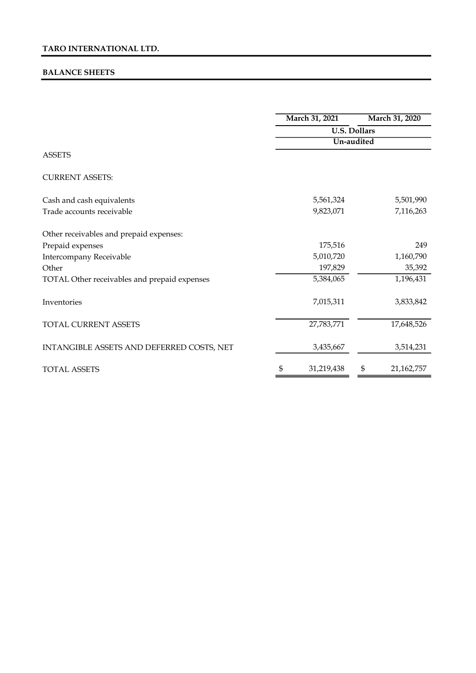## BALANCE SHEETS

|                                              |    | March 31, 2021                    |           | March 31, 2020 |  |
|----------------------------------------------|----|-----------------------------------|-----------|----------------|--|
|                                              |    | <b>U.S. Dollars</b><br>Un-audited |           |                |  |
|                                              |    |                                   |           |                |  |
| <b>ASSETS</b>                                |    |                                   |           |                |  |
| <b>CURRENT ASSETS:</b>                       |    |                                   |           |                |  |
| Cash and cash equivalents                    |    | 5,561,324                         |           | 5,501,990      |  |
| Trade accounts receivable                    |    | 9,823,071                         | 7,116,263 |                |  |
| Other receivables and prepaid expenses:      |    |                                   |           |                |  |
| Prepaid expenses                             |    | 175,516                           |           | 249            |  |
| Intercompany Receivable                      |    | 5,010,720                         |           | 1,160,790      |  |
| Other                                        |    | 197,829                           |           | 35,392         |  |
| TOTAL Other receivables and prepaid expenses |    | 5,384,065                         |           | 1,196,431      |  |
| Inventories                                  |    | 7,015,311                         |           | 3,833,842      |  |
| TOTAL CURRENT ASSETS                         |    | 27,783,771                        |           | 17,648,526     |  |
| INTANGIBLE ASSETS AND DEFERRED COSTS, NET    |    | 3,435,667                         |           | 3,514,231      |  |
| <b>TOTAL ASSETS</b>                          | \$ | 31,219,438                        | \$        | 21, 162, 757   |  |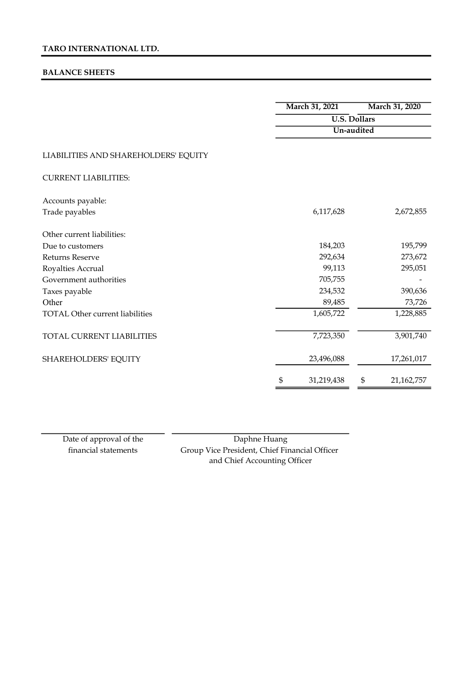# TARO INTERNATIONAL LTD.

## BALANCE SHEETS

|                                        | March 31, 2021   | March 31, 2020   |  |  |  |
|----------------------------------------|------------------|------------------|--|--|--|
|                                        |                  | U.S. Dollars     |  |  |  |
|                                        |                  | Un-audited       |  |  |  |
| LIABILITIES AND SHAREHOLDERS' EQUITY   |                  |                  |  |  |  |
| <b>CURRENT LIABILITIES:</b>            |                  |                  |  |  |  |
| Accounts payable:                      |                  |                  |  |  |  |
| Trade payables                         | 6,117,628        | 2,672,855        |  |  |  |
| Other current liabilities:             |                  |                  |  |  |  |
| Due to customers                       | 184,203          | 195,799          |  |  |  |
| <b>Returns Reserve</b>                 | 292,634          | 273,672          |  |  |  |
| Royalties Accrual                      | 99,113           | 295,051          |  |  |  |
| Government authorities                 | 705,755          |                  |  |  |  |
| Taxes payable                          | 234,532          | 390,636          |  |  |  |
| Other                                  | 89,485           | 73,726           |  |  |  |
| <b>TOTAL Other current liabilities</b> | 1,605,722        | 1,228,885        |  |  |  |
| TOTAL CURRENT LIABILITIES              | 7,723,350        | 3,901,740        |  |  |  |
| SHAREHOLDERS' EQUITY                   | 23,496,088       | 17,261,017       |  |  |  |
|                                        | \$<br>31,219,438 | \$<br>21,162,757 |  |  |  |

Date of approval of the financial statements

Daphne Huang Group Vice President, Chief Financial Officer and Chief Accounting Officer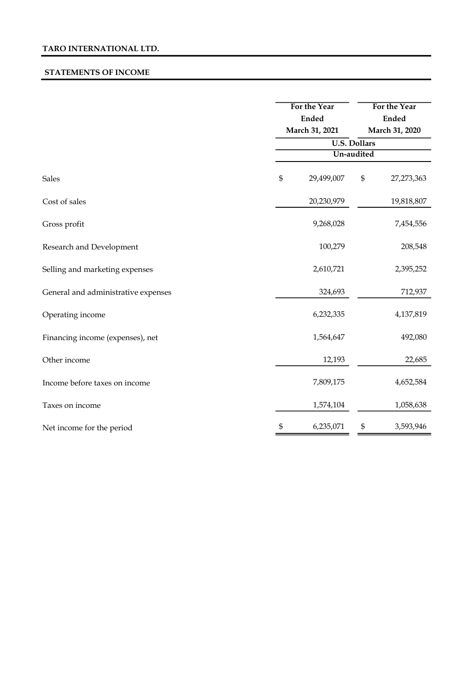### STATEMENTS OF INCOME

|                                     |              | For the Year<br><b>Ended</b><br>March 31, 2021 |                           | For the Year<br>Ended<br>March 31, 2020 |  |
|-------------------------------------|--------------|------------------------------------------------|---------------------------|-----------------------------------------|--|
|                                     |              | <b>U.S. Dollars</b><br>Un-audited              |                           |                                         |  |
| <b>Sales</b>                        | $\mathbb{S}$ | 29,499,007                                     | $\boldsymbol{\mathsf{S}}$ | 27,273,363                              |  |
| Cost of sales                       |              | 20,230,979                                     |                           | 19,818,807                              |  |
| Gross profit                        |              | 9,268,028                                      |                           | 7,454,556                               |  |
| Research and Development            |              | 100,279                                        |                           | 208,548                                 |  |
| Selling and marketing expenses      |              | 2,610,721                                      |                           | 2,395,252                               |  |
| General and administrative expenses |              | 324,693                                        |                           | 712,937                                 |  |
| Operating income                    |              | 6,232,335                                      |                           | 4,137,819                               |  |
| Financing income (expenses), net    |              | 1,564,647                                      |                           | 492,080                                 |  |
| Other income                        |              | 12,193                                         |                           | 22,685                                  |  |
| Income before taxes on income       |              | 7,809,175                                      |                           | 4,652,584                               |  |
| Taxes on income                     |              | 1,574,104                                      |                           | 1,058,638                               |  |
| Net income for the period           | \$           | 6,235,071                                      | \$                        | 3,593,946                               |  |